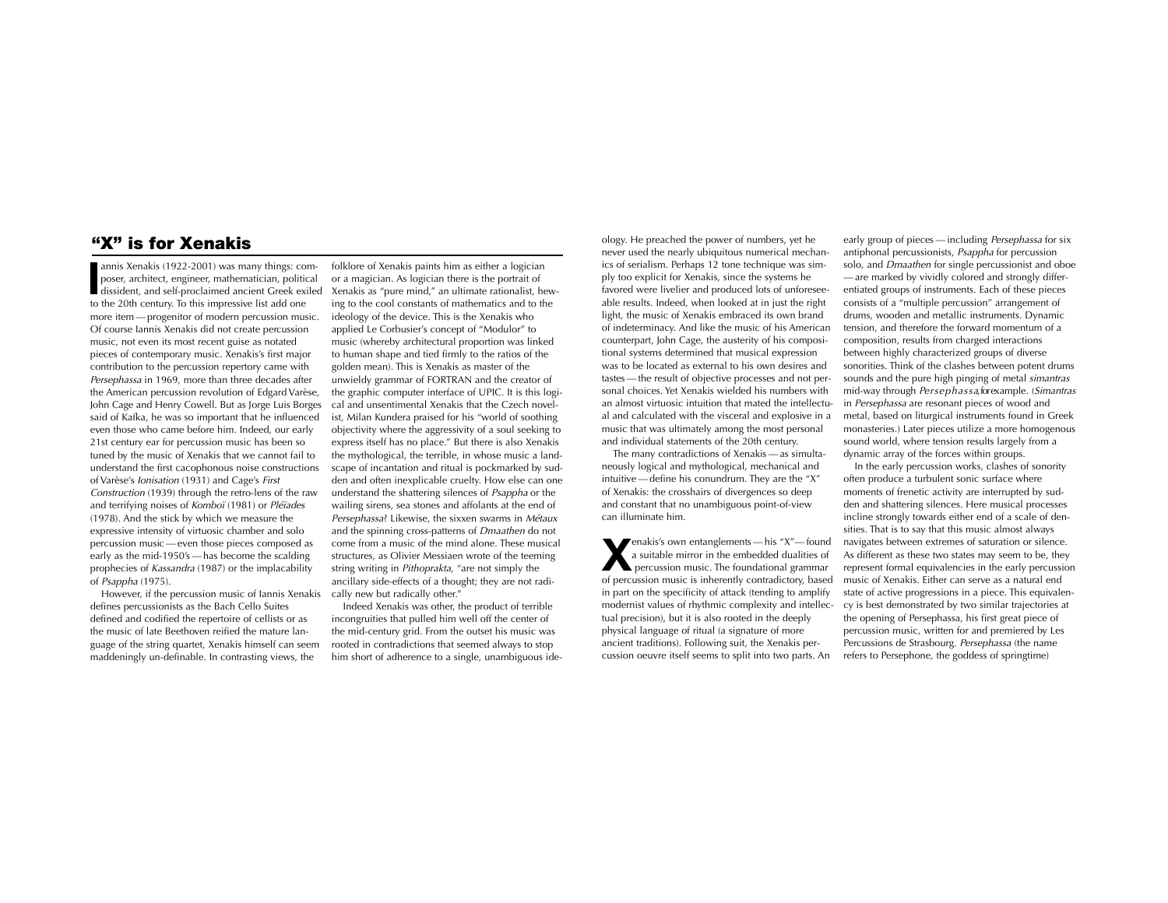# "X" is for Xenakis

annis Xenakis (1922-2001) was many things: composer, architect, engineer, mathematician, political dissident, and self-proclaimed ancient Greek exiled annis Xenakis (1922-2001) was many things: composer, architect, engineer, mathematician, political to the 20th century. To this impressive list add one more ite m —progenitor of modern percussion music. Of course Iannis Xenakis did not create percussion music, not even its most recent guise as notated pieces of contemporary music. Xenakis's first major contribution to the percussion repertory came with Persephassa in 1969, more than three decades after the American percussion revolution of Edgard Varèse, John Cage and Henry Cowell. But as Jorge Luis Borges said of Kafka, he was so important that he influenced even those who came before him. Indeed, our early 21st century ear for percussion music has been so tuned by the music of Xenakis that we cannot fail to understand the first cacophonous noise constructions of Varèse's *Ionisation* (1931) and Cage's First Construction (1939) through the retro-lens of the raw and terrifying noises of Komboï (1981) or Pléïades (1978). And the stick by which we measure the expressive intensity of virtuosic chamber and solo percussion music —even those pieces composed as early as the mid-1950's —has become the scalding prophecies of Kassandra (1987) or the implacability of Psappha (1975).

However, if the percussion music of Iannis Xenakis defines percussionists as the Bach Cello Suites defined and codified the repertoire of cellists or as the music of late Beethoven reified the mature language of the string quartet, Xenakis himself can seem maddeningly un-definable. In contrasting views, the

folklore of Xenakis paints him as either a logician or a magician. As logician there is the portrait of Xenakis as "pure mind," an ultimate rationalist, hewing to the cool constants of mathematics and to the ideology of the device. This is the Xenakis who applied Le Corbusier's concept of "Modulor" to music (whereby architectural proportion was linked to human shape and tied firmly to the ratios of the golden mean). This is Xenakis as master of the unwieldy grammar of FORTRAN and the creator of the graphic computer interface of UPIC. It is this logical and unsentimental Xenakis that the Czech novelist, Milan Kundera praised for his "world of soothing objectivity where the aggressivity of a soul seeking to express itself has no place." But there is also Xenakis the mythological, the terrible, in whose music a landscape of incantation and ritual is pockmarked by sudden and often inexplicable cruelty. How else can one understand the shattering silences of Psappha or the wailing sirens, sea stones and affolants at the end of Persephassa? Likewise, the sixxen swarms in Métaux and the spinning cross-patterns of Dmaathen do not come from a music of the mind alone. These musicalstructures, as Olivier Messiaen wrote of the teeming string writing in Pithoprakta, "are not simply the ancillary side-effects of a thought; they are not radically new but radically other."

Indeed Xenakis was other, the product of terrible incongruities that pulled him well off the center of the mid-century grid. From the outset his music wasrooted in contradictions that seemed always to stop him short of adherence to a single, unambiguous ide-

ology. He preached the power of numbers, yet he never used the nearly ubiquitous numerical mechanics of serialism. Perhaps 12 tone technique was simply too explicit for Xenakis, since the systems he favored were livelier and produced lots of unforeseeable results. Indeed, when looked at in just the right light, the music of Xenakis embraced its own brand of indeterminacy. And like the music of his American counterpart, John Cage, the austerity of his compositional systems determined that musical expression was to be located as external to his own desires and tastes—the result of objective processes and not personal choices. Yet Xenakis wielded his numbers withan almost virtuosic intuition that mated the intellectual and calculated with the visceral and explosive in a music that was ultimately among the most personal and individual statements of the 20th century.

The many contradictions of Xenakis —as simultaneously logical and mythological, mechanical and intuitive—define his conundrum. They are the "X" of Xenakis: the crosshairs of divergences so deep and constant that no unambiguous point-of-view can illuminate him.

**X**enakis's own entanglements — his "X"— found a suitable mirror in the embedded dualities of percussion music. The foundational grammar of percussion music is inherently contradictory, based in part on the specificity of attack (tending to amplify modernist values of rhythmic complexity and intellectual precision), but it is also rooted in the deeply physical language of ritual (a signature of more ancient traditions). Following suit, the Xenakis percussion oeuvre itself seems to split into two parts. An

early group of pieces - including Persephassa for six antiphonal percussionists, Psappha for percussion solo, and Dmaathen for single percussionist and oboe —are marked by vividly colored and strongly differentiated groups of instruments. Each of these pieces consists of a "multiple percussion" arrangement of drums, wooden and metallic instruments. Dynamic tension, and therefore the forward momentum of a composition, results from charged interactions between highly characterized groups of diverse sonorities. Think of the clashes between potent drums sounds and the pure high pinging of metal simantras mid-way through Persephassa, for example. (Simantras in Persephassa are resonant pieces of wood and metal, based on liturgical instruments found in Greek monasteries.) Later pieces utilize a more homogenous sound world, where tension results largely from a dynamic array of the forces within groups.

In the early percussion works, clashes of sonority often produce a turbulent sonic surface wheremoments of frenetic activity are interrupted by sudden and shattering silences. Here musical processes incline strongly to wards either end of a scale of densities. That is to say that this music almost always navigates between extremes of saturation or silence. As different as these two states may seem to be, they represent formal equivalencies in the early percussion music of Xenakis. Either can serve as a natural end state of active progressions in a piece. This equivalency is best demonstrated by two similar trajectories at the opening of Persephassa, his first great piece of percussion music, written for and premiered by Les Percussions de Strasbourg. Persephassa (the name refers to Persephone, the goddess of springtime)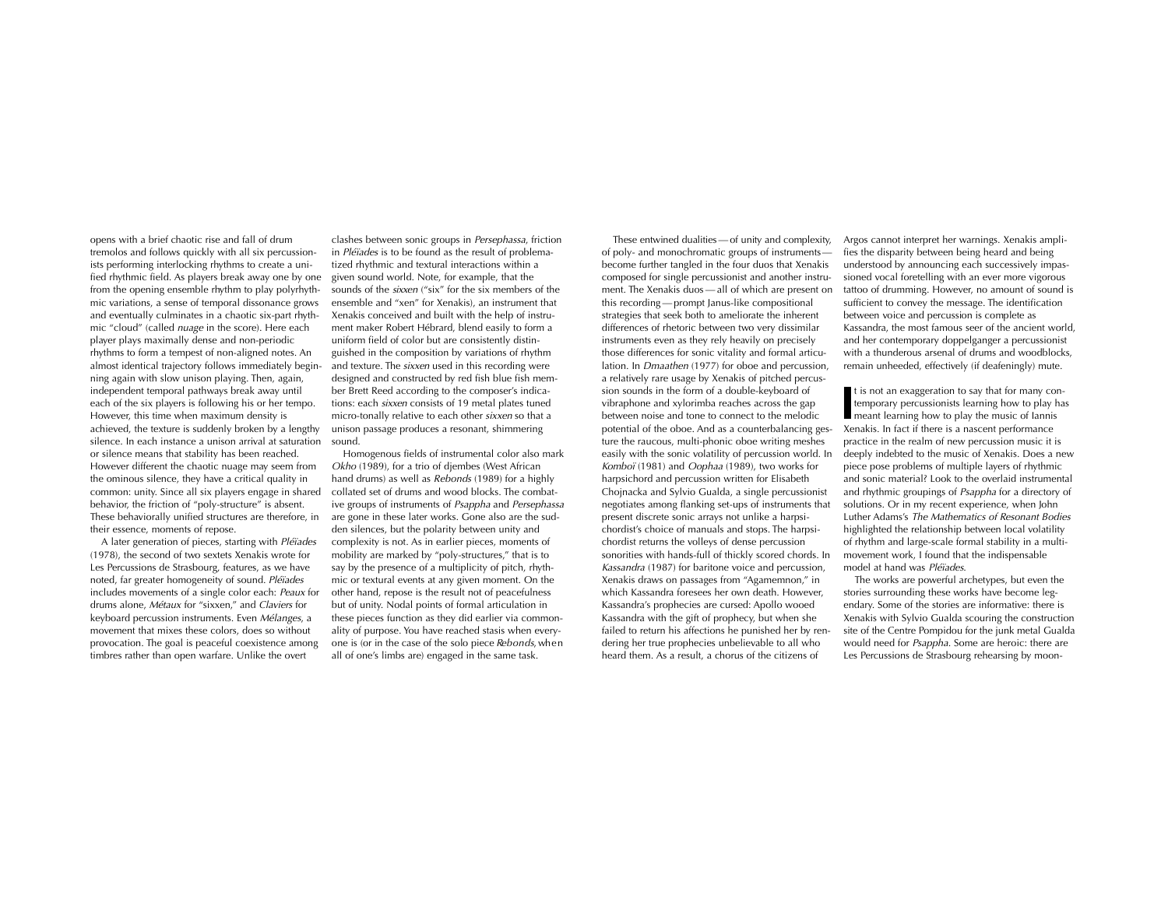opens with a brief chaotic rise and fall of drum tremolos and follows quickly with all six percussion ists performing interlocking rhythms to create a uni fied rhythmic field. As players break away one by one from the opening ensemble rhythm to play polyrhyth mic variations, a sense of temporal dissonance grows and eventually culminates in a chaotic six-part rhyth mic "cloud" (called nuage in the score). Here each player plays maximally dense and non-periodic rhythms to form a tempest of non-aligned notes. An almost identical trajectory follows immediately begin ning again with slow unison playing. Then, again, independent temporal pathways break away until each of the six players is following his or her tempo. However, this time when maximum density is achieved, the texture is suddenly broken by a lengthy silence. In each instance a unison arrival at saturation sound. or silence means that stability has been reached. However different the chaotic nuage may seem from the ominous silence, they have a critical quality in common: unity. Since all six players engage in shared behavior, the friction of "poly-structure" is absent. These behaviorally unified structures are therefore, in their essence, moments of repose.

A later generation of pieces, starting with Pléïades (1978), the second of two sextets Xenakis wrote for Les Percussions de Strasbourg, features, as we have noted, far greater homogeneity of sound. Pléïades includes movements of a single color each: Peaux for drums alone, Métaux for "sixxen," and Claviers for keyboard percussion instruments. Even Mélanges, a movement that mixes these colors, does so without provocation. The goal is peaceful coexistence among timbres rather than open warfare. Unlike the overt

clashes between sonic groups in Persephassa, friction in *Pléïades* is to be found as the result of problematized rhythmic and textural interactions within a given sound world. Note, for example, that the sounds of the *sixxen* ("six" for the six members of the ensemble and "xen" for Xenakis), an instrument that Xenakis conceived and built with the help of instrument maker Robert Hébrard, blend easily to form a uniform field of color but are consistently distinguished in the composition by variations of rhythm and texture. The *sixxen* used in this recording were designed and constructed by red fish blue fish member Brett Reed according to the composer's indications: each *sixxen* consists of 19 metal plates tuned micro-tonally relative to each other sixxen so that a unison passage produces a resonant, shimmering

Homogenous fields of instrumental color also mark Okho (1989), for a trio of djembes (West African hand drums) as well as Rebonds (1989) for a highly collated set of drums and wood blocks. The combative groups of instruments of Psappha and Persephassa are gone in these later works. Gone also are the sudden silences, but the polarity between unity and complexity is not. As in earlier pieces, moments of mobility are marked by "poly-structures," that is to say by the presence of a multiplicity of pitch, rhythmic or textural events at any given moment. On the other hand, repose is the result not of peacefulness but of unity. Nodal points of formal articulation in these pieces function as they did earlier via commonality of purpose. You have reached stasis when everyone is (or in the case of the solo piece *Rebonds,* when all of one's limbs are) engaged in the same task.

These entwined dualities—of unity and complexity, of poly- and monochromatic groups of instrumentsbecome further tangled in the four duos that Xenakis composed for single percussionist and another instrument. The Xenakis duos — all of which are present on this recording—prompt Janus-like compositional strategies that seek both to ameliorate the inherent differences of rhetoric between two very dissimilar instruments even as they rely heavily on precisely those differences for sonic vitality and formal articulation. In *Dmaathen* (1977) for oboe and percussion, a relatively rare usage by Xenakis of pitched percussion sounds in the form of a double-keyboard of vibraphone and xylorimba reaches across the gap between noise and tone to connect to the melodic potential of the oboe. And as a counterbalancing gesture the raucous, multi-phonic oboe writing meshes easily with the sonic volatility of percussion world. In *Komboï* (1981) and *Oophaa* (1989), two works for harpsichord and percussion written for Elisabeth Chojnacka and Sylvio Gualda, a single percussionist negotiates among flanking set-ups of instruments that present discrete sonic arrays not unlike a harpsichordist's choice of manuals and stops. The harpsichordist returns the volleys of dense percussion sonorities with hands-full of thickly scored chords. In K*assandra* (1987) for baritone voice and percussion, Xenakis draws on passages from "Agamemnon," in which Kassandra foresees her own death. However, Kassandra's prophecies are cursed: Apollo wooed Kassandra with the gift of prophecy, but when she failed to return his affections he punished her by rendering her true prophecies unbelievable to all who heard them. As a result, a chorus of the citizens of

Argos cannot interpret her warnings. Xenakis amplifies the disparity between being heard and being understood by announcing each successively impassioned vocal foretelling with an ever more vigorous tattoo of drumming. However, no amount of sound is sufficient to convey the message. The identification between voice and percussion is complete as Kassandra, the most famous seer of the ancient world, and her contemporary doppelganger a percussionist with a thunderous arsenal of drums and woodblocks, remain unheeded, effectively (if deafeningly) mute.

**I**t is not an exaggeration to say that for many con- temporary percussionists learning how to play has meant learning how to play the music of Iannis Xenakis. In fact if there is a nascent performance practice in the realm of new percussion music it is deeply indebted to the music of Xenakis. Does a new piece pose problems of multiple layers of rhythmic and sonic material? Look to the overlaid instrumental and rhythmic groupings of Psappha for a directory of solutions. Or in my recent experience, when John Luther Adams's The Mathematics of Resonant Bodies highlighted the relationship between local volatility of rhythm and large-scale formal stability in a multimovement work, I found that the indispensable model at hand was *Pléïades*.

The works are powerful archetypes, but even the stories surrounding these works have become legendary. Some of the stories are informative: there is Xenakis with Sylvio Gualda scouring the construction site of the Centre Pompidou for the junk metal Gualda would need for Psappha. Some are heroic: there are Les Percussions de Strasbourg rehearsing by moon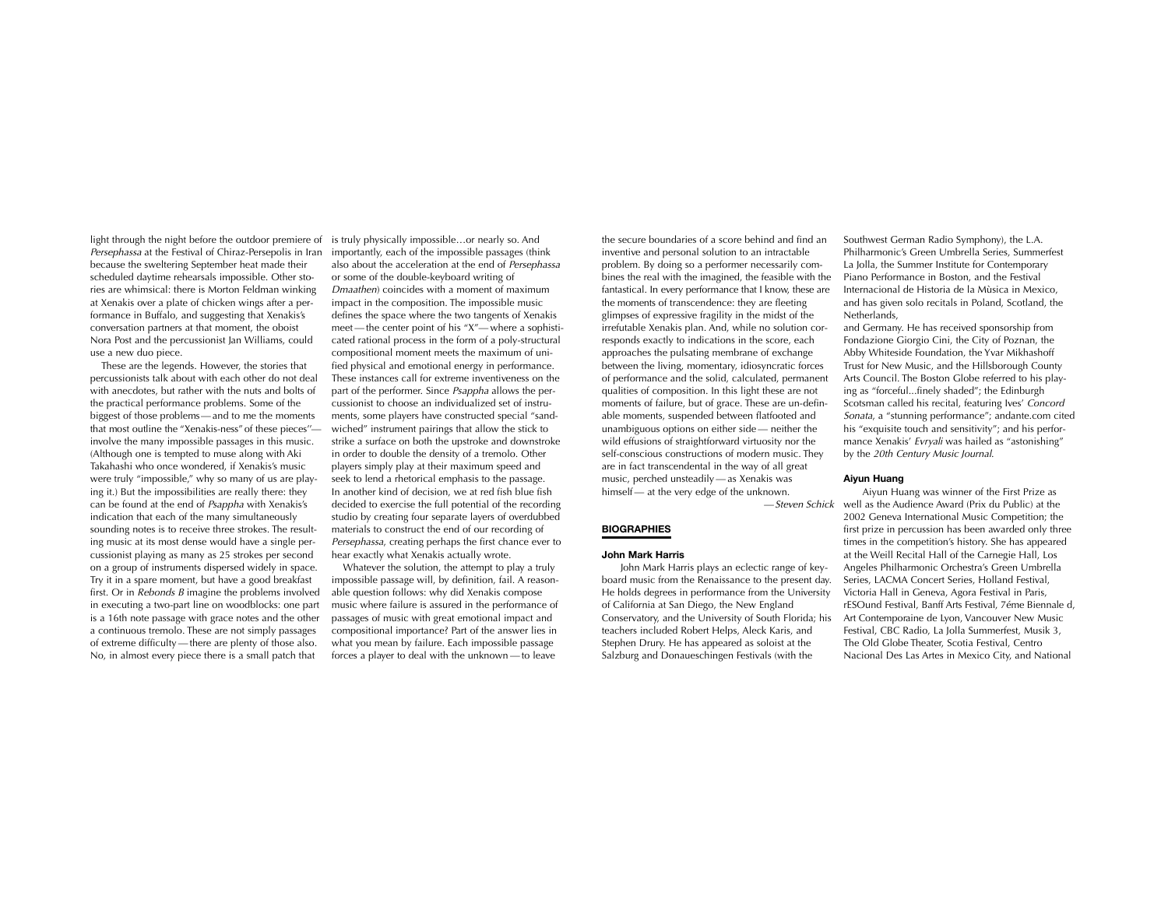light through the night before the outdoor premiere of Persephassa at the Festival of Chiraz-Persepolis in Iran because the sweltering September heat made their scheduled daytime rehearsals impossible. Other stories are whimsical: there is Morton Feldman winking at Xenakis over a plate of chicken wings after a performance in Buffalo, and suggesting that Xenakis's conversation partners at that moment, the oboist Nora Post and the percussionist Jan Williams, could use a new duo piece.

These are the legends. However, the stories that percussionists talk about with each other do not deal with anecdotes, but rather with the nuts and bolts of the practical performance problems. Some of the biggest of those problems—and to me the moments that most outline the "Xenakis-ness" of these pieces'' involve the many impossible passages in this music. (Although one is tempted to muse along with Aki Takahashi who once wondered, if Xenakis's music were truly "impossible," why so many of us are playing it.) But the impossibilities are really there: they can be found at the end of Psappha with Xenakis's indication that each of the many simultaneously sounding notes is to receive three strokes. The resulting music at its most dense would have a single percussionist playing as many as 25 strokes per second on a group of instruments dispersed widely in space. Try it in a spare moment, but have a good breakfast first. Or in *Rebonds B* imagine the problems involved in executing a two-part line on woodblocks: one part is a 16th note passage with grace notes and the other a continuous tremolo. These are not simply passages of extreme difficulty—there are plenty of those also. No, in almost every piece there is a small patch that

is truly physically impossible…or nearly so. And importantly, each of the impossible passages (think also about the acceleration at the end of Persephassa or some of the double-keyboard writing of Dmaathen) coincides with a moment of maximum impact in the composition. The impossible music defines the space where the two tangents of Xenakis meet—the center point of his "X"—where a sophisti cated rational process in the form of a poly-structural compositional moment meets the maximum of unified physical and emotional energy in performance. These instances call for extreme inventiveness on thepart of the performer. Since Psappha allows the percussionist to choose an individualized set of instruments, some players have constructed special "sandwiched" instrument pairings that allow the stick to strike a surface on both the upstroke and downstroke in order to double the density of a tremolo. Other players simply play at their maximum speed and seek to lend a rhetorical emphasis to the passage. In another kind of decision, we at red fish blue fish decided to exercise the full potential of the recording studio by creating four separate layers of overdubbed materials to construct the end of our recording of Persephassa, creating perhaps the first chance ever to hear exactly what Xenakis actually wrote.

Whatever the solution, the attempt to play a truly impossible passage will, by definition, fail. A reasonable question follows: why did Xenakis compose music where failure is assured in the performance of passages of music with great emotional impact and compositional importance? Part of the answer lies in what you mean by failure. Each impossible passage forces a player to deal with the unknown —to leave

the secure boundaries of a score behind and find an inventive and personal solution to an intractable problem. By doing so a performer necessarily combines the real with the imagined, the feasible with the fantastical. In every performance that I know, these are the moments of transcendence: they are fleeting glimpses of expressive fragility in the midst of the irrefutable Xenakis plan. And, while no solution corresponds exactly to indications in the score, each approaches the pulsating membrane of exchange between the living, momentary, idiosyncratic forces of performance and the solid, calculated, permanent qualities of composition. In this light these are not moments of failure, but of grace. These are un-definable moments, suspended between flatfooted and unambiguous options on either side — neither the wild effusions of straightforward virtuosity nor the self-conscious constructions of modern music. They are in fact transcendental in the way of all great music, perched unsteadily— as Xenakis was himself — at the very edge of the unknown.

—Steven Schick

# **BIOGRAPHIES**

# **John Mark Harris**

John Mark Harris plays an eclectic range of keyboard music from the Renaissance to the present day. He holds degrees in performance from the University of California at San Diego, the New England Conservatory, and the University of South Florida; his teachers included Robert Helps, Aleck Karis, and Stephen Drury. He has appeared as soloist at the Salzburg and Donaueschingen Festivals (with the

Southwest German Radio Symphony), the L.A. Philharmonic's Green Umbrella Series, Summerfest La Jolla, the Summer Institute for Contemporary Piano Performance in Boston, and the Festival Internacional de Historia de la Mùsica in Mexico, and has given solo recitals in Poland, Scotland, the Netherlands,

and Germany. He has received sponsorship from Fondazione Giorgio Cini, the City of Poznan, the Abby Whiteside Foundation, the Yvar Mikhashoff Trust for New Music, and the Hillsborough County Arts Council. The Boston Globe referred to his playing as "forceful...finely shaded"; the Edinburgh Scotsman called his recital, featuring Ives' Concord Sonata, a "stunning performance"; andante.com cited his "exquisite touch and sensitivity"; and his performance Xenakis' *Evryali* was hailed as "astonishing" by the 20th Century Music Journal.

#### **Aiyun Huang**

Aiyun Huang was winner of the First Prize as well as the Audience Award (Prix du Public) at the 2002 Geneva International Music Competition; the first prize in percussion has been awarded only three times in the competition's history. She has appeared at the Weill Recital Hall of the Carnegie Hall, Los Angeles Philharmonic Orchestra's Green Umbrella Series, LACMA Concert Series, Holland Festival, Victoria Hall in Geneva, Agora Festival in Paris, rESOund Festival, Banff Arts Festival, 7éme Biennale d. Art Contemporaine de Lyon, Vancouver New Music Festival, CBC Radio, La Jolla Summerfest, Musik 3, The Old Globe Theater, Scotia Festival, Centro Nacional Des Las Artes in Mexico City, and National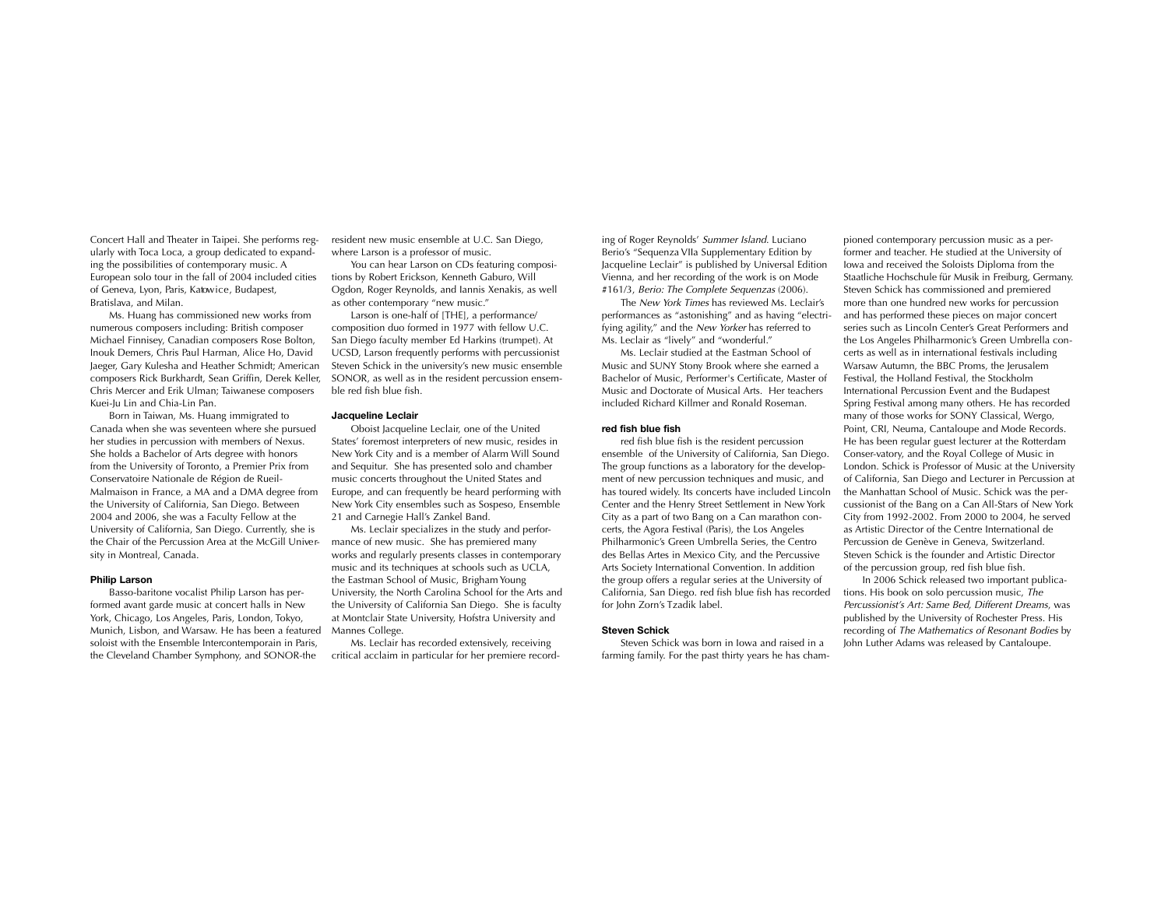Concert Hall and Theater in Taipei. She performs regularly with Toca Loca, a group dedicated to expanding the possibilities of contemporary music. A European solo tour in the fall of 2004 included cities of Geneva, Lyon, Paris, Katowice, Budapest, Bratislava, and Milan.

Ms. Huang has commissioned new works fromnumerous composers including: British composer Michael Finnisey, Canadian composers Rose Bolton, Inouk Demers, Chris Paul Harman, Alice Ho, David Jaeger, Gary Kulesha and Heather Schmidt; American composers Rick Burkhardt, Sean Griffin, Derek Keller, Chris Mercer and Erik Ulman; Taiwanese composers Kuei-Ju Lin and Chia-Lin Pan.

Born in Taiwan, Ms. Huang immigrated to Canada when she was seventeen where she pursued her studies in percussion with members of Nexus. She holds a Bachelor of Arts degree with honors from the University of Toronto, a Premier Prix from Conservatoire Nationale de Région de Rueil-Malmaison in France, a MA and a DMA degree from the University of California, San Diego. Between 2004 and 2006, she was a Faculty Fellow at the University of California, San Diego. Currently, she is the Chair of the Percussion Area at the McGill University in Montreal, Canada.

## **Philip Larson**

Basso-baritone vocalist Philip Larson has performed avant garde music at concert halls in New York, Chicago, Los Angeles, Paris, London, Tokyo, Munich, Lisbon, and Warsaw. He has been a featuredsoloist with the Ensemble Intercontemporain in Paris, the Cleveland Chamber Symphony, and SONOR-the

resident new music ensemble at U.C. San Diego, where Larson is a professor of music.

You can hear Larson on CDs featuring compositions by Robert Erickson, Kenneth Gaburo, Will Ogdon, Roger Reynolds, and Iannis Xenakis, as well as other contemporary "new music."

Larson is one-half of [THE], a performance/ composition duo formed in 1977 with fellow U.C. San Diego faculty member Ed Harkins (trumpet). At UCSD, Larson frequently performs with percussionist Steven Schick in the university's new music ensemble SONOR, as well as in the resident percussion ensemble red fish blue fish.

# **Jacqueline Leclair**

Oboist Jacqueline Leclair, one of the United States' foremost interpreters of new music, resides in New York City and is a member of Alarm Will Soundand Sequitur. She has presented solo and chamber music concerts throughout the United States and Europe, and can frequently be heard performing with New York City ensembles such as Sospeso, Ensemble 21 and Carnegie Hall's Zankel Band.

Ms. Leclair specializes in the study and performance of new music. She has premiered many works and regularly presents classes in contemporary music and its techniques at schools such as UCLA, the Eastman School of Music, Brigham Young University, the North Carolina School for the Arts and the University of California San Diego. She is faculty at Montclair State University, Hofstra University and Mannes College.

Ms. Leclair has recorded extensively, receiving critical acclaim in particular for her premiere recording of Roger Reynolds' Summer Island. Luciano Berio's "Sequenza VIIa Supplementary Edition by Jacqueline Leclair" is published by Universal Edition Vienna, and her recording of the work is on Mode #161/3, Berio: The Complete Sequenzas (2006).

The *New York Times* has reviewed Ms. Leclair's performances as "astonishing" and as having "electrifying agility," and the *New Yorker* has referred to Ms. Leclair as "lively" and "wonderful."

Ms. Leclair studied at the Eastman School ofMusic and SUNY Stony Brook where she earned a Bachelor of Music, Performer's Certificate, Master of Music and Doctorate of Musical Arts. Her teachersincluded Richard Killmer and Ronald Roseman.

### **red fish blue fish**

red fish blue fish is the resident percussion ensemble of the University of California, San Diego. The group functions as a laboratory for the development of new percussion techniques and music, and has toured widely. Its concerts have included Lincoln Center and the Henry Street Settlement in New York City as a part of two Bang on a Can marathon concerts, the Agora Festival (Paris), the Los Angeles Philharmonic's Green Umbrella Series, the Centro des Bellas Artes in Mexico City, and the Percussive Arts Society International Convention. In addition the group offers a regular series at the University of California, San Diego. red fish blue fish has recorded for John Zorn's Tzadik label.

#### **Steven Schick**

Steven Schick was born in Io wa and raised in a farming family. For the past thirty years he has cham-

pioned contemporary percussion music as a per former and teacher. He studied at the University of Iowa and received the Soloists Diploma from the Staatliche Hochschule für Musik in Freiburg, Germany. Steven Schick has commissioned and premiered more than one hundred new works for percussion and has performed these pieces on major concert series such as Lincoln Center's Great Performers andthe Los Angeles Philharmonic's Green Umbrella concerts as well as in international festivals including Warsa w Autumn, the BBC Proms, the Jerusalem Festival, the Holland Festival, the Stockholm International Percussion Event and the Budapest Spring Festival among many others. He has recorded many of those works for SONY Classical, Wergo, Point, CRI, Neuma, Cantaloupe and Mode Records. He has been regular guest lecturer at the Rotterdam Conser-vatory, and the Royal College of Music in London. Schick is Professor of Music at the University of California, San Diego and Lecturer in Percussion at the Manhattan School of Music. Schick was the percussionist of the Bang on a Can All-Stars of New York City from 1992-2002. From 2000 to 2004, he served as Artistic Director of the Centre International dePercussion de Genève in Geneva, Switzerland. Steven Schick is the founder and Artistic Director of the percussion group, red fish blue fish.

In 2006 Schick released two important publications. His book on solo percussion music, The Percussionist's Art: Same Bed, Different Dreams, was published by the University of Rochester Press. His recording of The Mathematics of Resonant Bodies by John Luther Adams was released by Cantaloupe.